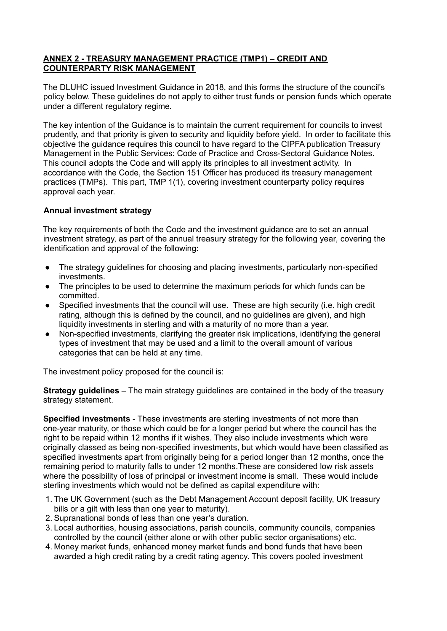## **ANNEX 2 - TREASURY MANAGEMENT PRACTICE (TMP1) – CREDIT AND COUNTERPARTY RISK MANAGEMENT**

The DLUHC issued Investment Guidance in 2018, and this forms the structure of the council's policy below. These guidelines do not apply to either trust funds or pension funds which operate under a different regulatory regime*.*

The key intention of the Guidance is to maintain the current requirement for councils to invest prudently, and that priority is given to security and liquidity before yield. In order to facilitate this objective the guidance requires this council to have regard to the CIPFA publication Treasury Management in the Public Services: Code of Practice and Cross-Sectoral Guidance Notes. This council adopts the Code and will apply its principles to all investment activity. In accordance with the Code, the Section 151 Officer has produced its treasury management practices (TMPs). This part, TMP 1(1), covering investment counterparty policy requires approval each year.

## **Annual investment strategy**

The key requirements of both the Code and the investment guidance are to set an annual investment strategy, as part of the annual treasury strategy for the following year*,* covering the identification and approval of the following:

- The strategy guidelines for choosing and placing investments, particularly non-specified investments.
- The principles to be used to determine the maximum periods for which funds can be committed.
- Specified investments that the council will use. These are high security (i.e. high credit rating, although this is defined by the council, and no guidelines are given), and high liquidity investments in sterling and with a maturity of no more than a year.
- Non-specified investments, clarifying the greater risk implications, identifying the general types of investment that may be used and a limit to the overall amount of various categories that can be held at any time.

The investment policy proposed for the council is:

**Strategy guidelines** – The main strategy guidelines are contained in the body of the treasury strategy statement.

**Specified investments** - These investments are sterling investments of not more than one-year maturity, or those which could be for a longer period but where the council has the right to be repaid within 12 months if it wishes. They also include investments which were originally classed as being non-specified investments, but which would have been classified as specified investments apart from originally being for a period longer than 12 months, once the remaining period to maturity falls to under 12 months.These are considered low risk assets where the possibility of loss of principal or investment income is small. These would include sterling investments which would not be defined as capital expenditure with:

- 1. The UK Government (such as the Debt Management Account deposit facility, UK treasury bills or a gilt with less than one year to maturity).
- 2. Supranational bonds of less than one year's duration.
- 3. Local authorities, housing associations, parish councils, community councils, companies controlled by the council (either alone or with other public sector organisations) etc.
- 4. Money market funds, enhanced money market funds and bond funds that have been awarded a high credit rating by a credit rating agency. This covers pooled investment